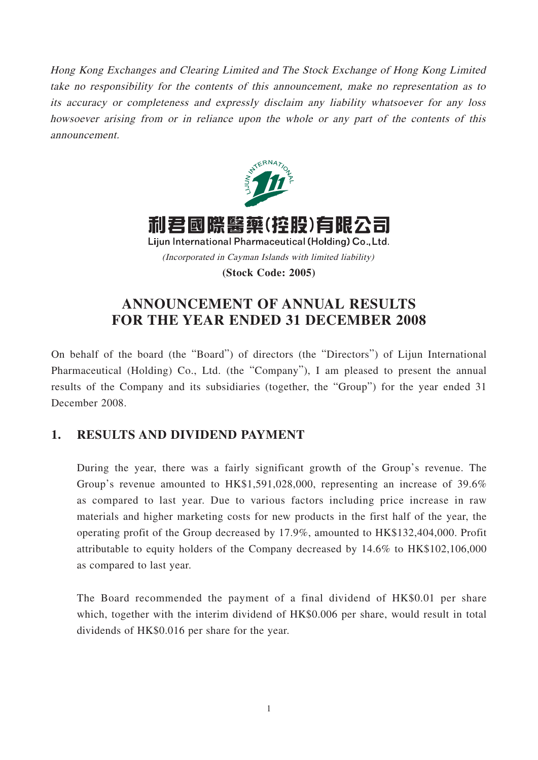Hong Kong Exchanges and Clearing Limited and The Stock Exchange of Hong Kong Limited take no responsibility for the contents of this announcement, make no representation as to its accuracy or completeness and expressly disclaim any liability whatsoever for any loss howsoever arising from or in reliance upon the whole or any part of the contents of this announcement.



**(Stock Code: 2005)**

# **ANNOUNCEMENT OF ANNUAL RESULTS FOR THE YEAR ENDED 31 DECEMBER 2008**

On behalf of the board (the "Board") of directors (the "Directors") of Lijun International Pharmaceutical (Holding) Co., Ltd. (the "Company"), I am pleased to present the annual results of the Company and its subsidiaries (together, the "Group") for the year ended 31 December 2008.

## **1. RESULTS AND DIVIDEND PAYMENT**

During the year, there was a fairly significant growth of the Group's revenue. The Group's revenue amounted to HK\$1,591,028,000, representing an increase of 39.6% as compared to last year. Due to various factors including price increase in raw materials and higher marketing costs for new products in the first half of the year, the operating profit of the Group decreased by 17.9%, amounted to HK\$132,404,000. Profit attributable to equity holders of the Company decreased by 14.6% to HK\$102,106,000 as compared to last year.

The Board recommended the payment of a final dividend of HK\$0.01 per share which, together with the interim dividend of HK\$0.006 per share, would result in total dividends of HK\$0.016 per share for the year.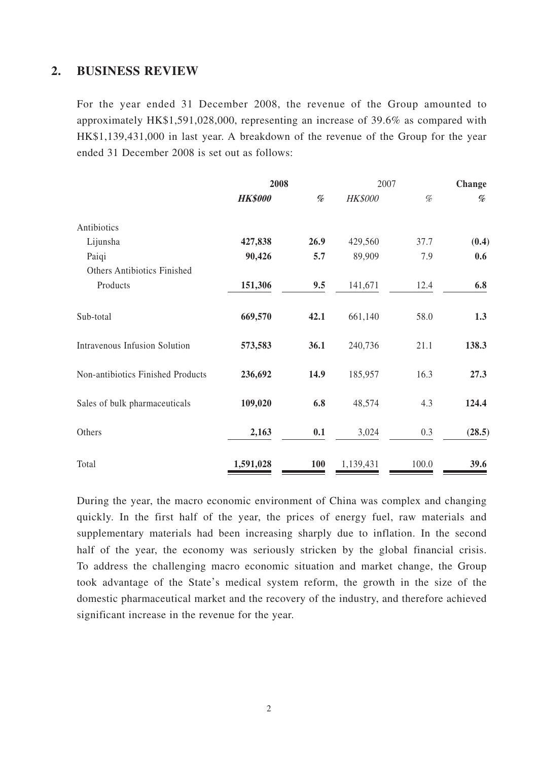### **2. BUSINESS REVIEW**

For the year ended 31 December 2008, the revenue of the Group amounted to approximately HK\$1,591,028,000, representing an increase of 39.6% as compared with HK\$1,139,431,000 in last year. A breakdown of the revenue of the Group for the year ended 31 December 2008 is set out as follows:

|                                    | 2008           |      |                | 2007  |                                                                                                                                 |
|------------------------------------|----------------|------|----------------|-------|---------------------------------------------------------------------------------------------------------------------------------|
|                                    | <b>HK\$000</b> | %    | <b>HK\$000</b> | $\%$  | $% \mathcal{P}_{\mathcal{A}}^{\mathcal{A}}\!\left( \mathcal{A} \right) = \mathcal{A}^{\mathcal{A}}\!\left( \mathcal{A} \right)$ |
| Antibiotics                        |                |      |                |       |                                                                                                                                 |
| Lijunsha                           | 427,838        | 26.9 | 429,560        | 37.7  | (0.4)                                                                                                                           |
| Paiqi                              | 90,426         | 5.7  | 89,909         | 7.9   | 0.6                                                                                                                             |
| <b>Others Antibiotics Finished</b> |                |      |                |       |                                                                                                                                 |
| Products                           | 151,306        | 9.5  | 141,671        | 12.4  | 6.8                                                                                                                             |
| Sub-total                          | 669,570        | 42.1 | 661,140        | 58.0  | 1.3                                                                                                                             |
| Intravenous Infusion Solution      | 573,583        | 36.1 | 240,736        | 21.1  | 138.3                                                                                                                           |
| Non-antibiotics Finished Products  | 236,692        | 14.9 | 185,957        | 16.3  | 27.3                                                                                                                            |
| Sales of bulk pharmaceuticals      | 109,020        | 6.8  | 48,574         | 4.3   | 124.4                                                                                                                           |
| Others                             | 2,163          | 0.1  | 3,024          | 0.3   | (28.5)                                                                                                                          |
| Total                              | 1,591,028      | 100  | 1,139,431      | 100.0 | 39.6                                                                                                                            |

During the year, the macro economic environment of China was complex and changing quickly. In the first half of the year, the prices of energy fuel, raw materials and supplementary materials had been increasing sharply due to inflation. In the second half of the year, the economy was seriously stricken by the global financial crisis. To address the challenging macro economic situation and market change, the Group took advantage of the State's medical system reform, the growth in the size of the domestic pharmaceutical market and the recovery of the industry, and therefore achieved significant increase in the revenue for the year.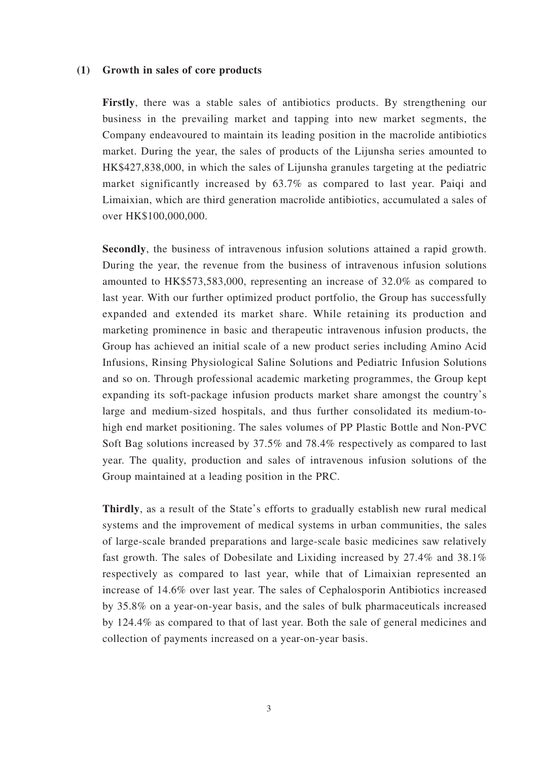#### **(1) Growth in sales of core products**

**Firstly**, there was a stable sales of antibiotics products. By strengthening our business in the prevailing market and tapping into new market segments, the Company endeavoured to maintain its leading position in the macrolide antibiotics market. During the year, the sales of products of the Lijunsha series amounted to HK\$427,838,000, in which the sales of Lijunsha granules targeting at the pediatric market significantly increased by 63.7% as compared to last year. Paiqi and Limaixian, which are third generation macrolide antibiotics, accumulated a sales of over HK\$100,000,000.

**Secondly**, the business of intravenous infusion solutions attained a rapid growth. During the year, the revenue from the business of intravenous infusion solutions amounted to HK\$573,583,000, representing an increase of 32.0% as compared to last year. With our further optimized product portfolio, the Group has successfully expanded and extended its market share. While retaining its production and marketing prominence in basic and therapeutic intravenous infusion products, the Group has achieved an initial scale of a new product series including Amino Acid Infusions, Rinsing Physiological Saline Solutions and Pediatric Infusion Solutions and so on. Through professional academic marketing programmes, the Group kept expanding its soft-package infusion products market share amongst the country's large and medium-sized hospitals, and thus further consolidated its medium-tohigh end market positioning. The sales volumes of PP Plastic Bottle and Non-PVC Soft Bag solutions increased by 37.5% and 78.4% respectively as compared to last year. The quality, production and sales of intravenous infusion solutions of the Group maintained at a leading position in the PRC.

**Thirdly**, as a result of the State's efforts to gradually establish new rural medical systems and the improvement of medical systems in urban communities, the sales of large-scale branded preparations and large-scale basic medicines saw relatively fast growth. The sales of Dobesilate and Lixiding increased by 27.4% and 38.1% respectively as compared to last year, while that of Limaixian represented an increase of 14.6% over last year. The sales of Cephalosporin Antibiotics increased by 35.8% on a year-on-year basis, and the sales of bulk pharmaceuticals increased by 124.4% as compared to that of last year. Both the sale of general medicines and collection of payments increased on a year-on-year basis.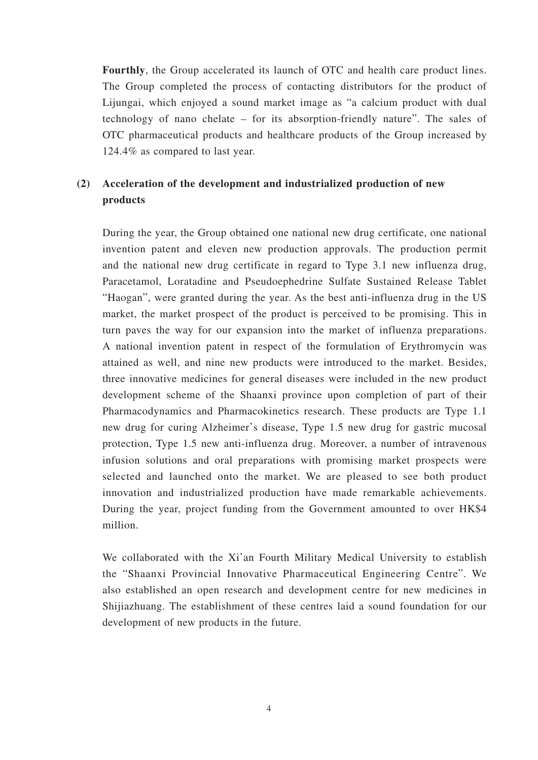**Fourthly**, the Group accelerated its launch of OTC and health care product lines. The Group completed the process of contacting distributors for the product of Lijungai, which enjoyed a sound market image as "a calcium product with dual technology of nano chelate – for its absorption-friendly nature". The sales of OTC pharmaceutical products and healthcare products of the Group increased by 124.4% as compared to last year.

### **(2) Acceleration of the development and industrialized production of new products**

During the year, the Group obtained one national new drug certificate, one national invention patent and eleven new production approvals. The production permit and the national new drug certificate in regard to Type 3.1 new influenza drug, Paracetamol, Loratadine and Pseudoephedrine Sulfate Sustained Release Tablet "Haogan", were granted during the year. As the best anti-influenza drug in the US market, the market prospect of the product is perceived to be promising. This in turn paves the way for our expansion into the market of influenza preparations. A national invention patent in respect of the formulation of Erythromycin was attained as well, and nine new products were introduced to the market. Besides, three innovative medicines for general diseases were included in the new product development scheme of the Shaanxi province upon completion of part of their Pharmacodynamics and Pharmacokinetics research. These products are Type 1.1 new drug for curing Alzheimer's disease, Type 1.5 new drug for gastric mucosal protection, Type 1.5 new anti-influenza drug. Moreover, a number of intravenous infusion solutions and oral preparations with promising market prospects were selected and launched onto the market. We are pleased to see both product innovation and industrialized production have made remarkable achievements. During the year, project funding from the Government amounted to over HK\$4 million.

We collaborated with the Xi'an Fourth Military Medical University to establish the "Shaanxi Provincial Innovative Pharmaceutical Engineering Centre". We also established an open research and development centre for new medicines in Shijiazhuang. The establishment of these centres laid a sound foundation for our development of new products in the future.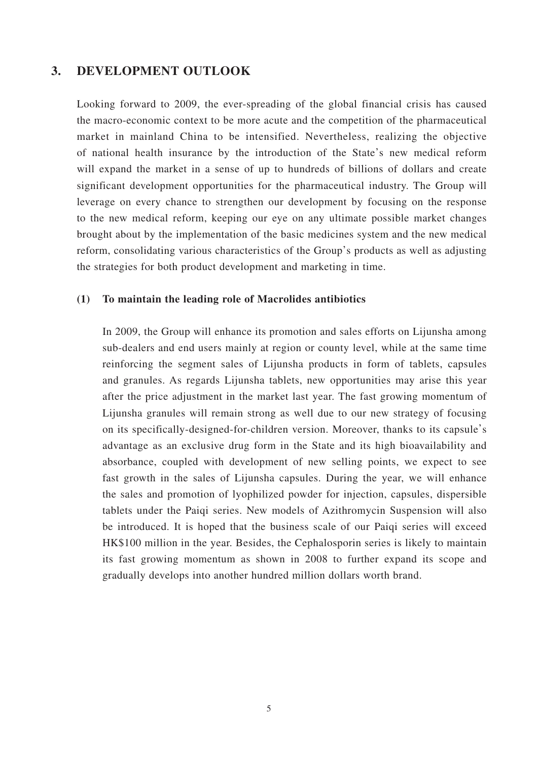### **3. DEVELOPMENT OUTLOOK**

Looking forward to 2009, the ever-spreading of the global financial crisis has caused the macro-economic context to be more acute and the competition of the pharmaceutical market in mainland China to be intensified. Nevertheless, realizing the objective of national health insurance by the introduction of the State's new medical reform will expand the market in a sense of up to hundreds of billions of dollars and create significant development opportunities for the pharmaceutical industry. The Group will leverage on every chance to strengthen our development by focusing on the response to the new medical reform, keeping our eye on any ultimate possible market changes brought about by the implementation of the basic medicines system and the new medical reform, consolidating various characteristics of the Group's products as well as adjusting the strategies for both product development and marketing in time.

#### **(1) To maintain the leading role of Macrolides antibiotics**

In 2009, the Group will enhance its promotion and sales efforts on Lijunsha among sub-dealers and end users mainly at region or county level, while at the same time reinforcing the segment sales of Lijunsha products in form of tablets, capsules and granules. As regards Lijunsha tablets, new opportunities may arise this year after the price adjustment in the market last year. The fast growing momentum of Lijunsha granules will remain strong as well due to our new strategy of focusing on its specifically-designed-for-children version. Moreover, thanks to its capsule's advantage as an exclusive drug form in the State and its high bioavailability and absorbance, coupled with development of new selling points, we expect to see fast growth in the sales of Lijunsha capsules. During the year, we will enhance the sales and promotion of lyophilized powder for injection, capsules, dispersible tablets under the Paiqi series. New models of Azithromycin Suspension will also be introduced. It is hoped that the business scale of our Paiqi series will exceed HK\$100 million in the year. Besides, the Cephalosporin series is likely to maintain its fast growing momentum as shown in 2008 to further expand its scope and gradually develops into another hundred million dollars worth brand.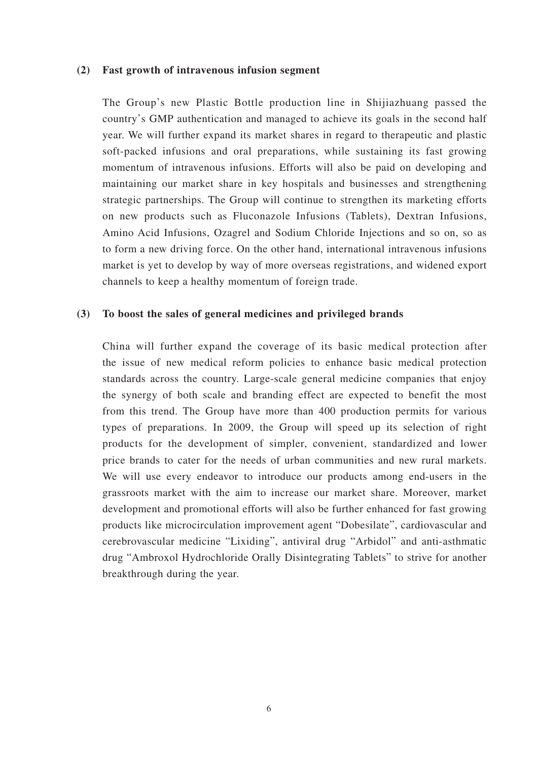#### **(2) Fast growth of intravenous infusion segment**

The Group's new Plastic Bottle production line in Shijiazhuang passed the country's GMP authentication and managed to achieve its goals in the second half year. We will further expand its market shares in regard to therapeutic and plastic soft-packed infusions and oral preparations, while sustaining its fast growing momentum of intravenous infusions. Efforts will also be paid on developing and maintaining our market share in key hospitals and businesses and strengthening strategic partnerships. The Group will continue to strengthen its marketing efforts on new products such as Fluconazole Infusions (Tablets), Dextran Infusions, Amino Acid Infusions, Ozagrel and Sodium Chloride Injections and so on, so as to form a new driving force. On the other hand, international intravenous infusions market is yet to develop by way of more overseas registrations, and widened export channels to keep a healthy momentum of foreign trade.

### **(3) To boost the sales of general medicines and privileged brands**

China will further expand the coverage of its basic medical protection after the issue of new medical reform policies to enhance basic medical protection standards across the country. Large-scale general medicine companies that enjoy the synergy of both scale and branding effect are expected to benefit the most from this trend. The Group have more than 400 production permits for various types of preparations. In 2009, the Group will speed up its selection of right products for the development of simpler, convenient, standardized and lower price brands to cater for the needs of urban communities and new rural markets. We will use every endeavor to introduce our products among end-users in the grassroots market with the aim to increase our market share. Moreover, market development and promotional efforts will also be further enhanced for fast growing products like microcirculation improvement agent "Dobesilate", cardiovascular and cerebrovascular medicine "Lixiding", antiviral drug "Arbidol" and anti-asthmatic drug "Ambroxol Hydrochloride Orally Disintegrating Tablets" to strive for another breakthrough during the year.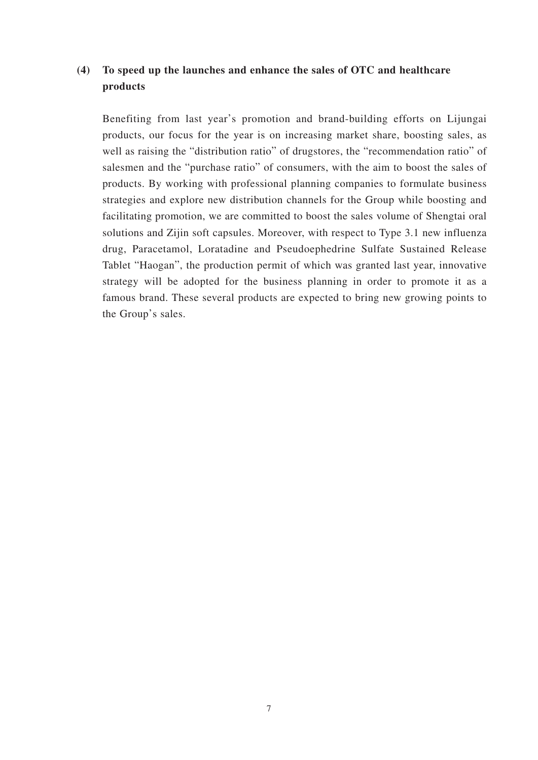### **(4) To speed up the launches and enhance the sales of OTC and healthcare products**

Benefiting from last year's promotion and brand-building efforts on Lijungai products, our focus for the year is on increasing market share, boosting sales, as well as raising the "distribution ratio" of drugstores, the "recommendation ratio" of salesmen and the "purchase ratio" of consumers, with the aim to boost the sales of products. By working with professional planning companies to formulate business strategies and explore new distribution channels for the Group while boosting and facilitating promotion, we are committed to boost the sales volume of Shengtai oral solutions and Zijin soft capsules. Moreover, with respect to Type 3.1 new influenza drug, Paracetamol, Loratadine and Pseudoephedrine Sulfate Sustained Release Tablet "Haogan", the production permit of which was granted last year, innovative strategy will be adopted for the business planning in order to promote it as a famous brand. These several products are expected to bring new growing points to the Group's sales.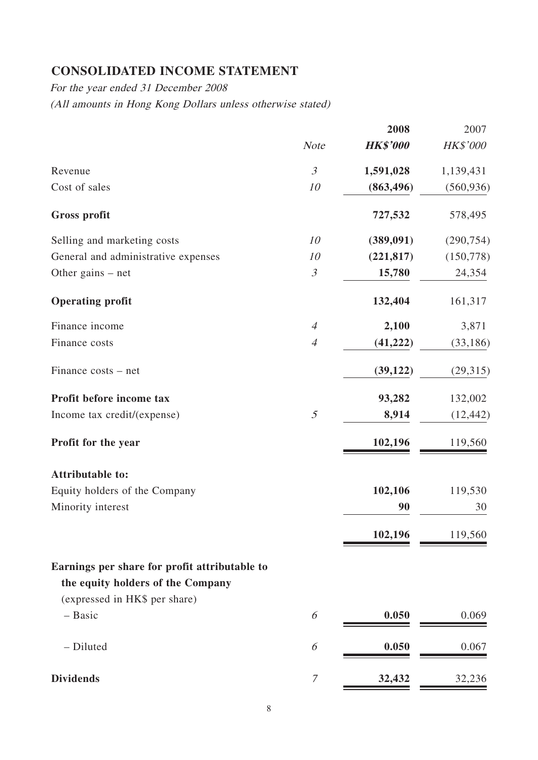# **CONSOLIDATED INCOME STATEMENT**

For the year ended 31 December 2008

(All amounts in Hong Kong Dollars unless otherwise stated)

|                                               |                | 2008            | 2007       |
|-----------------------------------------------|----------------|-----------------|------------|
|                                               | <b>Note</b>    | <b>HK\$'000</b> | HK\$'000   |
| Revenue                                       | $\mathfrak{Z}$ | 1,591,028       | 1,139,431  |
| Cost of sales                                 | 10             | (863, 496)      | (560, 936) |
| <b>Gross profit</b>                           |                | 727,532         | 578,495    |
| Selling and marketing costs                   | 10             | (389,091)       | (290, 754) |
| General and administrative expenses           | 10             | (221, 817)      | (150, 778) |
| Other gains $-$ net                           | $\mathfrak{Z}$ | 15,780          | 24,354     |
| <b>Operating profit</b>                       |                | 132,404         | 161,317    |
| Finance income                                | $\overline{4}$ | 2,100           | 3,871      |
| Finance costs                                 | $\overline{4}$ | (41, 222)       | (33, 186)  |
| Finance costs - net                           |                | (39, 122)       | (29,315)   |
| Profit before income tax                      |                | 93,282          | 132,002    |
| Income tax credit/(expense)                   | 5              | 8,914           | (12, 442)  |
| Profit for the year                           |                | 102,196         | 119,560    |
| <b>Attributable to:</b>                       |                |                 |            |
| Equity holders of the Company                 |                | 102,106         | 119,530    |
| Minority interest                             |                | 90              | 30         |
|                                               |                | 102,196         | 119,560    |
| Earnings per share for profit attributable to |                |                 |            |
| the equity holders of the Company             |                |                 |            |
| (expressed in HK\$ per share)                 |                |                 |            |
| $-$ Basic                                     | 6              | 0.050           | 0.069      |
| - Diluted                                     | 6              | 0.050           | 0.067      |
| <b>Dividends</b>                              | 7              | 32,432          | 32,236     |
|                                               |                |                 |            |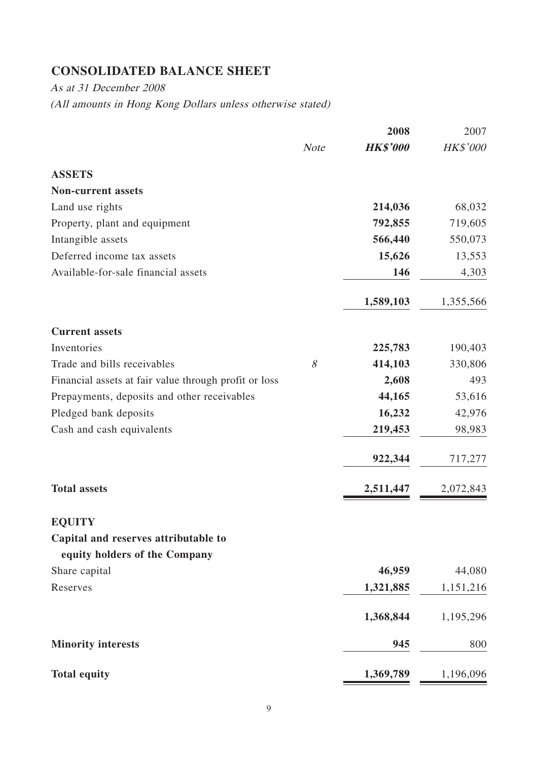# **CONSOLIDATED BALANCE SHEET**

As at 31 December 2008 (All amounts in Hong Kong Dollars unless otherwise stated)

|                                                       |             | 2008            | 2007      |
|-------------------------------------------------------|-------------|-----------------|-----------|
|                                                       | <b>Note</b> | <b>HK\$'000</b> | HK\$'000  |
| <b>ASSETS</b>                                         |             |                 |           |
| <b>Non-current assets</b>                             |             |                 |           |
| Land use rights                                       |             | 214,036         | 68,032    |
| Property, plant and equipment                         |             | 792,855         | 719,605   |
| Intangible assets                                     |             | 566,440         | 550,073   |
| Deferred income tax assets                            |             | 15,626          | 13,553    |
| Available-for-sale financial assets                   |             | 146             | 4,303     |
|                                                       |             | 1,589,103       | 1,355,566 |
| <b>Current assets</b>                                 |             |                 |           |
| Inventories                                           |             | 225,783         | 190,403   |
| Trade and bills receivables                           | 8           | 414,103         | 330,806   |
| Financial assets at fair value through profit or loss |             | 2,608           | 493       |
| Prepayments, deposits and other receivables           |             | 44,165          | 53,616    |
| Pledged bank deposits                                 |             | 16,232          | 42,976    |
| Cash and cash equivalents                             |             | 219,453         | 98,983    |
|                                                       |             | 922,344         | 717,277   |
| <b>Total assets</b>                                   |             | 2,511,447       | 2,072,843 |
| <b>EQUITY</b>                                         |             |                 |           |
| Capital and reserves attributable to                  |             |                 |           |
| equity holders of the Company                         |             |                 |           |
| Share capital                                         |             | 46,959          | 44,080    |
| Reserves                                              |             | 1,321,885       | 1,151,216 |
|                                                       |             | 1,368,844       | 1,195,296 |
| <b>Minority interests</b>                             |             | 945             | 800       |
| <b>Total equity</b>                                   |             | 1,369,789       | 1,196,096 |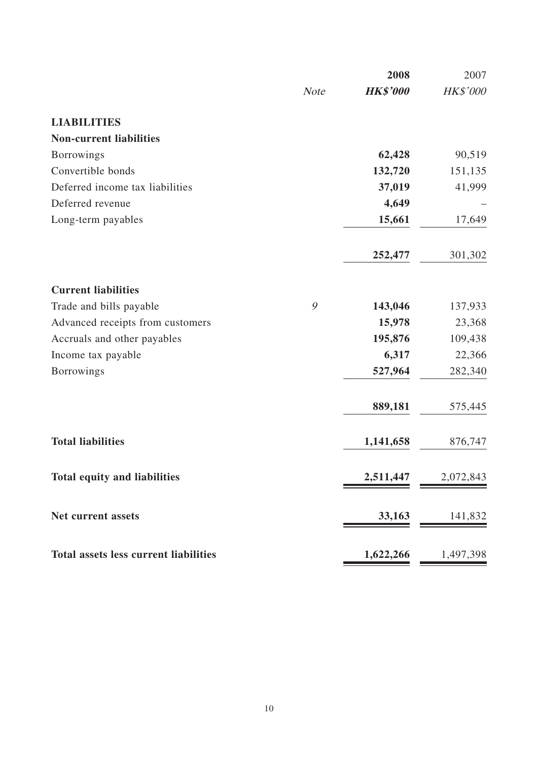|                                              |             | 2008            | 2007      |
|----------------------------------------------|-------------|-----------------|-----------|
|                                              | <b>Note</b> | <b>HK\$'000</b> | HK\$'000  |
| <b>LIABILITIES</b>                           |             |                 |           |
| <b>Non-current liabilities</b>               |             |                 |           |
| <b>Borrowings</b>                            |             | 62,428          | 90,519    |
| Convertible bonds                            |             | 132,720         | 151,135   |
| Deferred income tax liabilities              |             | 37,019          | 41,999    |
| Deferred revenue                             |             | 4,649           |           |
| Long-term payables                           |             | 15,661          | 17,649    |
|                                              |             | 252,477         | 301,302   |
| <b>Current liabilities</b>                   |             |                 |           |
| Trade and bills payable                      | 9           | 143,046         | 137,933   |
| Advanced receipts from customers             |             | 15,978          | 23,368    |
| Accruals and other payables                  |             | 195,876         | 109,438   |
| Income tax payable                           |             | 6,317           | 22,366    |
| <b>Borrowings</b>                            |             | 527,964         | 282,340   |
|                                              |             | 889,181         | 575,445   |
| <b>Total liabilities</b>                     |             | 1,141,658       | 876,747   |
| <b>Total equity and liabilities</b>          |             | 2,511,447       | 2,072,843 |
| Net current assets                           |             | 33,163          | 141,832   |
| <b>Total assets less current liabilities</b> |             | 1,622,266       | 1,497,398 |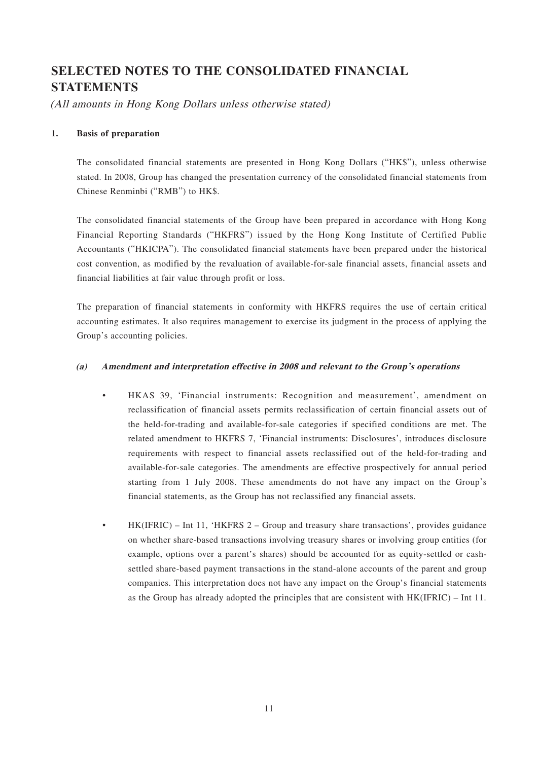# **SELECTED NOTES TO THE CONSOLIDATED FINANCIAL STATEMENTS**

(All amounts in Hong Kong Dollars unless otherwise stated)

#### **1. Basis of preparation**

The consolidated financial statements are presented in Hong Kong Dollars ("HK\$"), unless otherwise stated. In 2008, Group has changed the presentation currency of the consolidated financial statements from Chinese Renminbi ("RMB") to HK\$.

The consolidated financial statements of the Group have been prepared in accordance with Hong Kong Financial Reporting Standards ("HKFRS") issued by the Hong Kong Institute of Certified Public Accountants ("HKICPA"). The consolidated financial statements have been prepared under the historical cost convention, as modified by the revaluation of available-for-sale financial assets, financial assets and financial liabilities at fair value through profit or loss.

The preparation of financial statements in conformity with HKFRS requires the use of certain critical accounting estimates. It also requires management to exercise its judgment in the process of applying the Group's accounting policies.

#### **(a) Amendment and interpretation effective in 2008 and relevant to the Group's operations**

- HKAS 39, 'Financial instruments: Recognition and measurement', amendment on reclassification of financial assets permits reclassification of certain financial assets out of the held-for-trading and available-for-sale categories if specified conditions are met. The related amendment to HKFRS 7, 'Financial instruments: Disclosures', introduces disclosure requirements with respect to financial assets reclassified out of the held-for-trading and available-for-sale categories. The amendments are effective prospectively for annual period starting from 1 July 2008. These amendments do not have any impact on the Group's financial statements, as the Group has not reclassified any financial assets.
	- HK(IFRIC) Int 11, 'HKFRS 2 Group and treasury share transactions', provides guidance on whether share-based transactions involving treasury shares or involving group entities (for example, options over a parent's shares) should be accounted for as equity-settled or cashsettled share-based payment transactions in the stand-alone accounts of the parent and group companies. This interpretation does not have any impact on the Group's financial statements as the Group has already adopted the principles that are consistent with HK(IFRIC) – Int 11.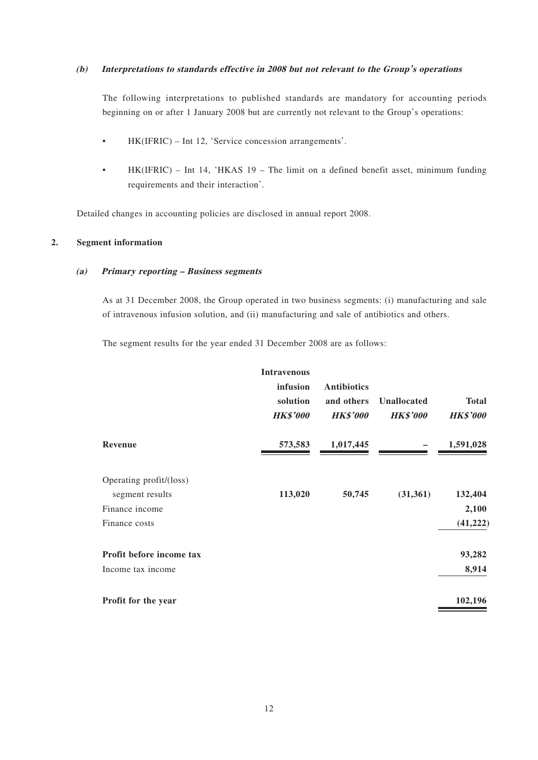#### **(b) Interpretations to standards effective in 2008 but not relevant to the Group's operations**

The following interpretations to published standards are mandatory for accounting periods beginning on or after 1 January 2008 but are currently not relevant to the Group's operations:

- HK(IFRIC) Int 12, 'Service concession arrangements'.
- HK(IFRIC) Int 14, 'HKAS 19 The limit on a defined benefit asset, minimum funding requirements and their interaction'.

Detailed changes in accounting policies are disclosed in annual report 2008.

#### **2. Segment information**

#### **(a) Primary reporting – Business segments**

As at 31 December 2008, the Group operated in two business segments: (i) manufacturing and sale of intravenous infusion solution, and (ii) manufacturing and sale of antibiotics and others.

The segment results for the year ended 31 December 2008 are as follows:

|                                            | <b>Intravenous</b><br>infusion<br>solution<br><b>HK\$'000</b> | <b>Antibiotics</b><br>and others<br><b>HK\$'000</b> | <b>Unallocated</b><br><b>HK\$'000</b> | <b>Total</b><br><b>HK\$'000</b> |
|--------------------------------------------|---------------------------------------------------------------|-----------------------------------------------------|---------------------------------------|---------------------------------|
| Revenue                                    | 573,583                                                       | 1,017,445                                           |                                       | 1,591,028                       |
| Operating profit/(loss)<br>segment results | 113,020                                                       | 50,745                                              | (31, 361)                             | 132,404                         |
| Finance income                             |                                                               |                                                     |                                       | 2,100                           |
| Finance costs                              |                                                               |                                                     |                                       | (41, 222)                       |
| Profit before income tax                   |                                                               |                                                     |                                       | 93,282                          |
| Income tax income                          |                                                               |                                                     |                                       | 8,914                           |
| Profit for the year                        |                                                               |                                                     |                                       | 102,196                         |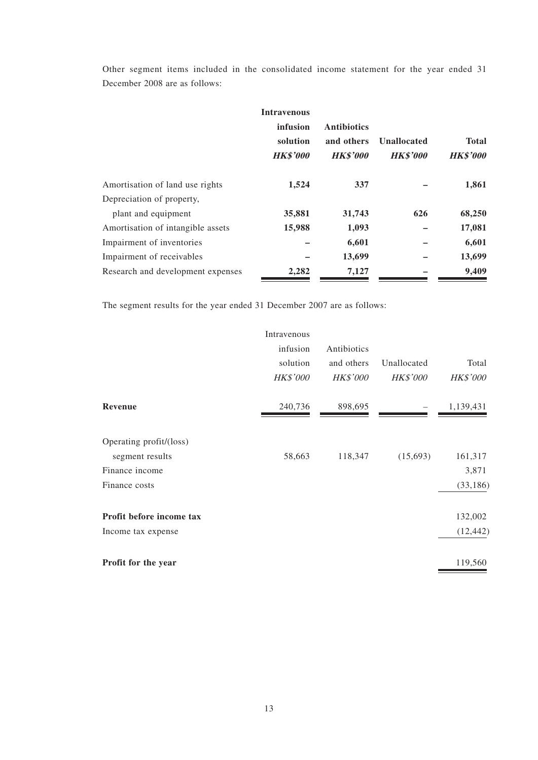Other segment items included in the consolidated income statement for the year ended 31 December 2008 are as follows:

|                                   | <b>Intravenous</b><br>infusion<br>solution<br><b>HK\$'000</b> | <b>Antibiotics</b><br>and others<br><b>HK\$'000</b> | <b>Unallocated</b><br><b>HK\$'000</b> | <b>Total</b><br><b>HK\$'000</b> |
|-----------------------------------|---------------------------------------------------------------|-----------------------------------------------------|---------------------------------------|---------------------------------|
| Amortisation of land use rights   | 1,524                                                         | 337                                                 |                                       | 1,861                           |
| Depreciation of property,         |                                                               |                                                     |                                       |                                 |
| plant and equipment               | 35,881                                                        | 31,743                                              | 626                                   | 68,250                          |
| Amortisation of intangible assets | 15,988                                                        | 1,093                                               |                                       | 17,081                          |
| Impairment of inventories         |                                                               | 6,601                                               |                                       | 6,601                           |
| Impairment of receivables         |                                                               | 13,699                                              |                                       | 13,699                          |
| Research and development expenses | 2,282                                                         | 7,127                                               |                                       | 9,409                           |

The segment results for the year ended 31 December 2007 are as follows:

|                          | Intravenous     |                 |                 |                 |
|--------------------------|-----------------|-----------------|-----------------|-----------------|
|                          | infusion        | Antibiotics     |                 |                 |
|                          | solution        | and others      | Unallocated     | Total           |
|                          | <b>HK\$'000</b> | <b>HK\$'000</b> | <b>HK\$'000</b> | <b>HK\$'000</b> |
| Revenue                  | 240,736         | 898,695         |                 | 1,139,431       |
| Operating profit/(loss)  |                 |                 |                 |                 |
| segment results          | 58,663          | 118,347         | (15,693)        | 161,317         |
| Finance income           |                 |                 |                 | 3,871           |
| Finance costs            |                 |                 |                 | (33, 186)       |
| Profit before income tax |                 |                 |                 | 132,002         |
| Income tax expense       |                 |                 |                 | (12, 442)       |
| Profit for the year      |                 |                 |                 | 119,560         |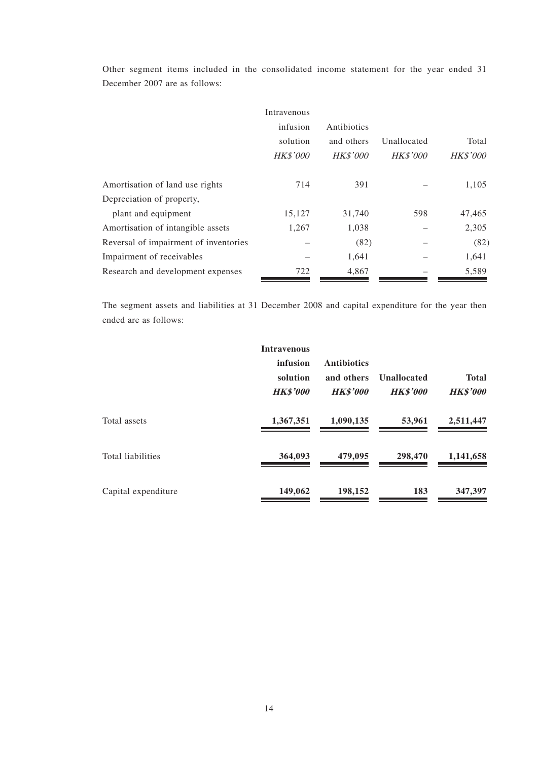Other segment items included in the consolidated income statement for the year ended 31 December 2007 are as follows:

|                                       | Intravenous     |                 |                 |                 |
|---------------------------------------|-----------------|-----------------|-----------------|-----------------|
|                                       | infusion        | Antibiotics     |                 |                 |
|                                       | solution        | and others      | Unallocated     | Total           |
|                                       | <b>HK\$'000</b> | <b>HK\$'000</b> | <b>HK\$'000</b> | <b>HK\$'000</b> |
| Amortisation of land use rights       | 714             | 391             |                 | 1,105           |
| Depreciation of property,             |                 |                 |                 |                 |
| plant and equipment                   | 15,127          | 31,740          | 598             | 47,465          |
| Amortisation of intangible assets     | 1,267           | 1,038           |                 | 2,305           |
| Reversal of impairment of inventories |                 | (82)            |                 | (82)            |
| Impairment of receivables             |                 | 1,641           |                 | 1,641           |
| Research and development expenses     | 722             | 4,867           |                 | 5,589           |

The segment assets and liabilities at 31 December 2008 and capital expenditure for the year then ended are as follows:

|                     | <b>Intravenous</b>                      |                                                     |                                       |                                 |
|---------------------|-----------------------------------------|-----------------------------------------------------|---------------------------------------|---------------------------------|
|                     | infusion<br>solution<br><b>HK\$'000</b> | <b>Antibiotics</b><br>and others<br><b>HK\$'000</b> | <b>Unallocated</b><br><b>HK\$'000</b> | <b>Total</b><br><b>HK\$'000</b> |
| Total assets        | 1,367,351                               | 1,090,135                                           | 53,961                                | 2,511,447                       |
| Total liabilities   | 364,093                                 | 479,095                                             | 298,470                               | 1,141,658                       |
| Capital expenditure | 149,062                                 | 198,152                                             | 183                                   | 347,397                         |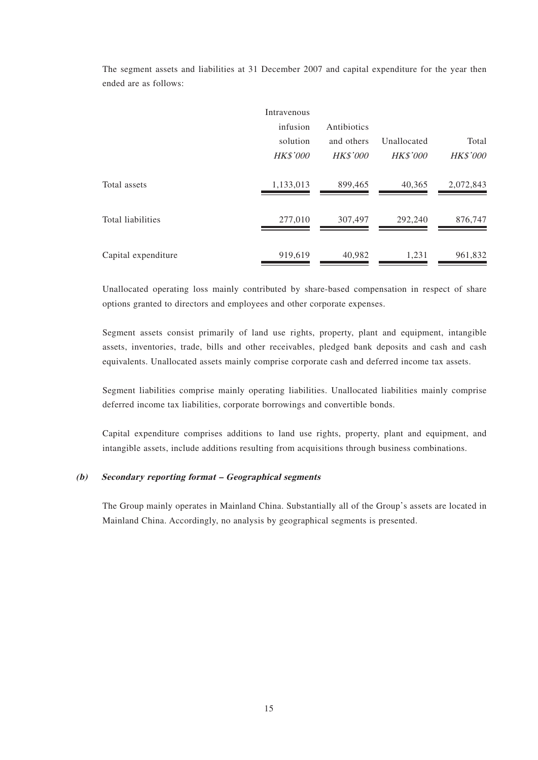|                          | Intravenous<br>infusion<br>solution<br><b>HK\$'000</b> | Antibiotics<br>and others<br><b>HK\$'000</b> | Unallocated<br><b>HK\$'000</b> | Total<br><b>HK\$'000</b> |
|--------------------------|--------------------------------------------------------|----------------------------------------------|--------------------------------|--------------------------|
| Total assets             | 1,133,013                                              | 899,465                                      | 40,365                         | 2,072,843                |
| <b>Total liabilities</b> | 277,010                                                | 307,497                                      | 292,240                        | 876,747                  |
| Capital expenditure      | 919,619                                                | 40,982                                       | 1,231                          | 961,832                  |

The segment assets and liabilities at 31 December 2007 and capital expenditure for the year then ended are as follows:

Unallocated operating loss mainly contributed by share-based compensation in respect of share options granted to directors and employees and other corporate expenses.

Segment assets consist primarily of land use rights, property, plant and equipment, intangible assets, inventories, trade, bills and other receivables, pledged bank deposits and cash and cash equivalents. Unallocated assets mainly comprise corporate cash and deferred income tax assets.

Segment liabilities comprise mainly operating liabilities. Unallocated liabilities mainly comprise deferred income tax liabilities, corporate borrowings and convertible bonds.

Capital expenditure comprises additions to land use rights, property, plant and equipment, and intangible assets, include additions resulting from acquisitions through business combinations.

#### **(b) Secondary reporting format – Geographical segments**

The Group mainly operates in Mainland China. Substantially all of the Group's assets are located in Mainland China. Accordingly, no analysis by geographical segments is presented.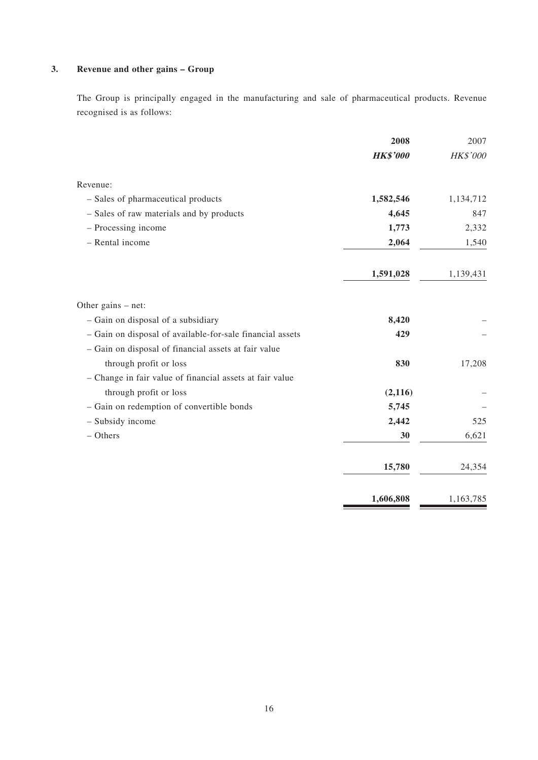### **3. Revenue and other gains – Group**

The Group is principally engaged in the manufacturing and sale of pharmaceutical products. Revenue recognised is as follows:

|                                                           | 2008            | 2007      |
|-----------------------------------------------------------|-----------------|-----------|
|                                                           | <b>HK\$'000</b> | HK\$'000  |
| Revenue:                                                  |                 |           |
| - Sales of pharmaceutical products                        | 1,582,546       | 1,134,712 |
| - Sales of raw materials and by products                  | 4,645           | 847       |
| - Processing income                                       | 1,773           | 2,332     |
| - Rental income                                           | 2,064           | 1,540     |
|                                                           | 1,591,028       | 1,139,431 |
| Other gains – net:                                        |                 |           |
| - Gain on disposal of a subsidiary                        | 8,420           |           |
| - Gain on disposal of available-for-sale financial assets | 429             |           |
| - Gain on disposal of financial assets at fair value      |                 |           |
| through profit or loss                                    | 830             | 17,208    |
| - Change in fair value of financial assets at fair value  |                 |           |
| through profit or loss                                    | (2, 116)        |           |
| - Gain on redemption of convertible bonds                 | 5,745           |           |
| - Subsidy income                                          | 2,442           | 525       |
| $-$ Others                                                | 30              | 6,621     |
|                                                           | 15,780          | 24,354    |
|                                                           | 1,606,808       | 1,163,785 |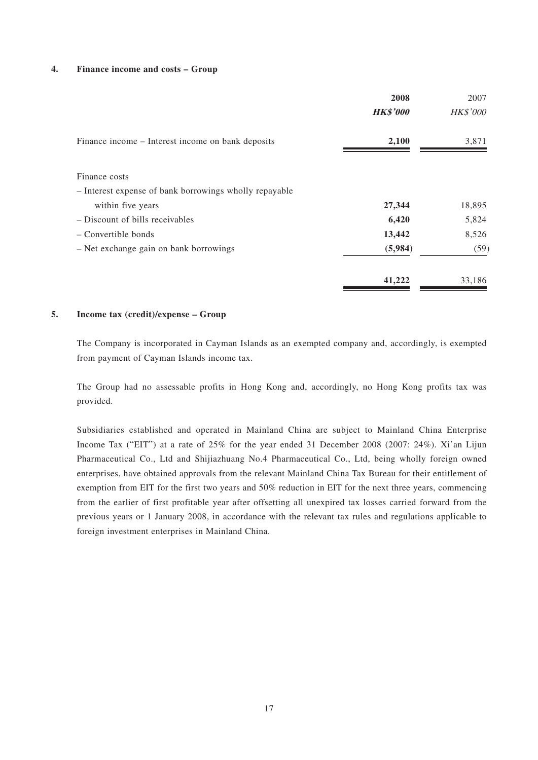#### **4. Finance income and costs – Group**

|                                                        | 2008            | 2007            |
|--------------------------------------------------------|-----------------|-----------------|
|                                                        | <b>HK\$'000</b> | <b>HK\$'000</b> |
| Finance income – Interest income on bank deposits      | 2,100           | 3,871           |
| Finance costs                                          |                 |                 |
| - Interest expense of bank borrowings wholly repayable |                 |                 |
| within five years                                      | 27,344          | 18,895          |
| - Discount of bills receivables                        | 6,420           | 5,824           |
| - Convertible bonds                                    | 13,442          | 8,526           |
| - Net exchange gain on bank borrowings                 | (5,984)         | (59)            |
|                                                        | 41,222          | 33,186          |

#### **5. Income tax (credit)/expense – Group**

The Company is incorporated in Cayman Islands as an exempted company and, accordingly, is exempted from payment of Cayman Islands income tax.

The Group had no assessable profits in Hong Kong and, accordingly, no Hong Kong profits tax was provided.

Subsidiaries established and operated in Mainland China are subject to Mainland China Enterprise Income Tax ("EIT") at a rate of 25% for the year ended 31 December 2008 (2007: 24%). Xi'an Lijun Pharmaceutical Co., Ltd and Shijiazhuang No.4 Pharmaceutical Co., Ltd, being wholly foreign owned enterprises, have obtained approvals from the relevant Mainland China Tax Bureau for their entitlement of exemption from EIT for the first two years and 50% reduction in EIT for the next three years, commencing from the earlier of first profitable year after offsetting all unexpired tax losses carried forward from the previous years or 1 January 2008, in accordance with the relevant tax rules and regulations applicable to foreign investment enterprises in Mainland China.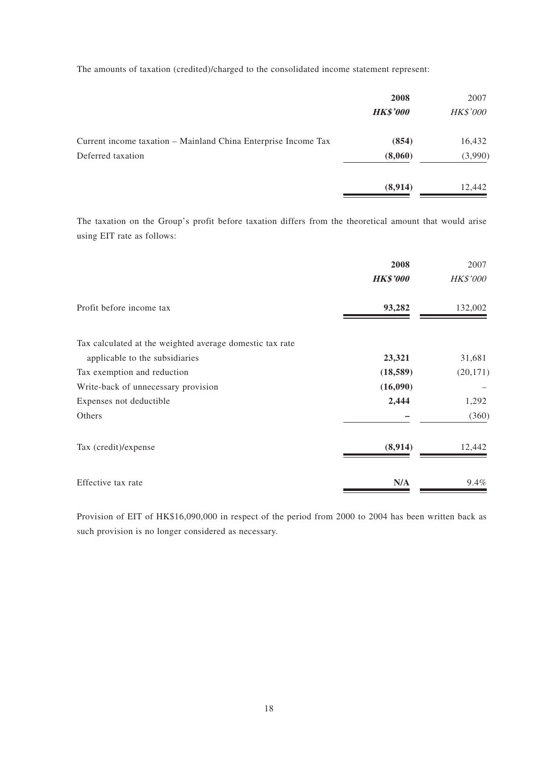The amounts of taxation (credited)/charged to the consolidated income statement represent:

|                                                                | 2008            | 2007            |
|----------------------------------------------------------------|-----------------|-----------------|
|                                                                | <b>HK\$'000</b> | <b>HK\$'000</b> |
| Current income taxation - Mainland China Enterprise Income Tax | (854)           | 16,432          |
| Deferred taxation                                              | (8,060)         | (3,990)         |
|                                                                | (8,914)         | 12,442          |

The taxation on the Group's profit before taxation differs from the theoretical amount that would arise using EIT rate as follows:

|                                                          | 2008            | 2007            |
|----------------------------------------------------------|-----------------|-----------------|
|                                                          | <b>HK\$'000</b> | <b>HK\$'000</b> |
| Profit before income tax                                 | 93,282          | 132,002         |
| Tax calculated at the weighted average domestic tax rate |                 |                 |
| applicable to the subsidiaries                           | 23,321          | 31,681          |
| Tax exemption and reduction                              | (18, 589)       | (20, 171)       |
| Write-back of unnecessary provision                      | (16,090)        |                 |
| Expenses not deductible                                  | 2,444           | 1,292           |
| Others                                                   |                 | (360)           |
| Tax (credit)/expense                                     | (8,914)         | 12,442          |
| Effective tax rate                                       | N/A             | 9.4%            |

Provision of EIT of HK\$16,090,000 in respect of the period from 2000 to 2004 has been written back as such provision is no longer considered as necessary.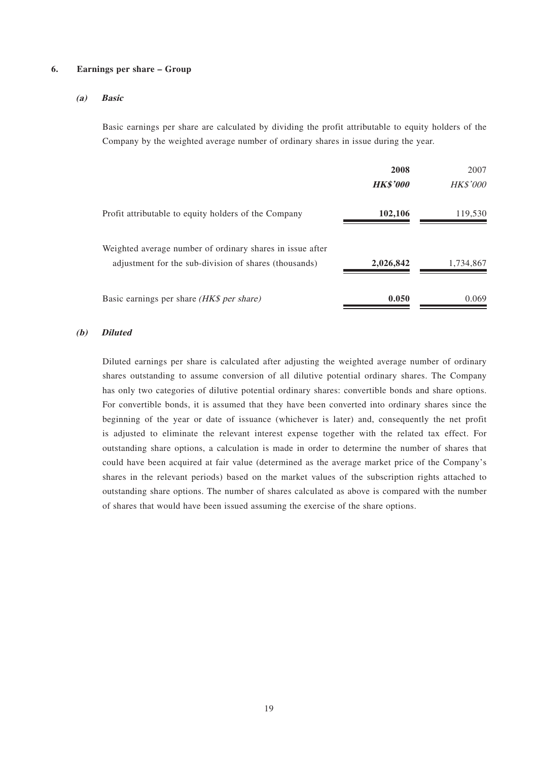#### **6. Earnings per share – Group**

#### **(a) Basic**

Basic earnings per share are calculated by dividing the profit attributable to equity holders of the Company by the weighted average number of ordinary shares in issue during the year.

|                                                           | 2008            | 2007            |
|-----------------------------------------------------------|-----------------|-----------------|
|                                                           | <b>HK\$'000</b> | <b>HK\$'000</b> |
| Profit attributable to equity holders of the Company      | 102,106         | 119,530         |
| Weighted average number of ordinary shares in issue after |                 |                 |
| adjustment for the sub-division of shares (thousands)     | 2,026,842       | 1,734,867       |
| Basic earnings per share (HK\$ per share)                 | 0.050           | 0.069           |

#### **(b) Diluted**

Diluted earnings per share is calculated after adjusting the weighted average number of ordinary shares outstanding to assume conversion of all dilutive potential ordinary shares. The Company has only two categories of dilutive potential ordinary shares: convertible bonds and share options. For convertible bonds, it is assumed that they have been converted into ordinary shares since the beginning of the year or date of issuance (whichever is later) and, consequently the net profit is adjusted to eliminate the relevant interest expense together with the related tax effect. For outstanding share options, a calculation is made in order to determine the number of shares that could have been acquired at fair value (determined as the average market price of the Company's shares in the relevant periods) based on the market values of the subscription rights attached to outstanding share options. The number of shares calculated as above is compared with the number of shares that would have been issued assuming the exercise of the share options.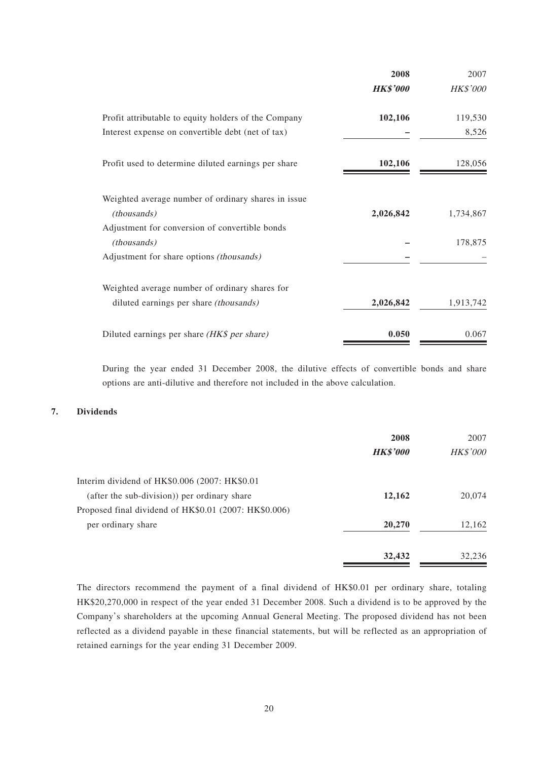|                                                                    | 2008            | 2007            |
|--------------------------------------------------------------------|-----------------|-----------------|
|                                                                    | <b>HK\$'000</b> | <b>HK\$'000</b> |
| Profit attributable to equity holders of the Company               | 102,106         | 119,530         |
| Interest expense on convertible debt (net of tax)                  |                 | 8,526           |
| Profit used to determine diluted earnings per share                | 102,106         | 128,056         |
| Weighted average number of ordinary shares in issue<br>(thousands) | 2,026,842       | 1,734,867       |
| Adjustment for conversion of convertible bonds                     |                 |                 |
| (thousands)                                                        |                 | 178,875         |
| Adjustment for share options (thousands)                           |                 |                 |
| Weighted average number of ordinary shares for                     |                 |                 |
| diluted earnings per share (thousands)                             | 2,026,842       | 1,913,742       |
| Diluted earnings per share (HK\$ per share)                        | 0.050           | 0.067           |

During the year ended 31 December 2008, the dilutive effects of convertible bonds and share options are anti-dilutive and therefore not included in the above calculation.

#### **7. Dividends**

|                                                       | 2008<br><b>HK\$'000</b> | 2007<br>HK\$'000 |
|-------------------------------------------------------|-------------------------|------------------|
| Interim dividend of HK\$0.006 (2007: HK\$0.01         |                         |                  |
| (after the sub-division)) per ordinary share          | 12,162                  | 20,074           |
| Proposed final dividend of HK\$0.01 (2007: HK\$0.006) |                         |                  |
| per ordinary share                                    | 20,270                  | 12,162           |
|                                                       | 32,432                  | 32,236           |

The directors recommend the payment of a final dividend of HK\$0.01 per ordinary share, totaling HK\$20,270,000 in respect of the year ended 31 December 2008. Such a dividend is to be approved by the Company's shareholders at the upcoming Annual General Meeting. The proposed dividend has not been reflected as a dividend payable in these financial statements, but will be reflected as an appropriation of retained earnings for the year ending 31 December 2009.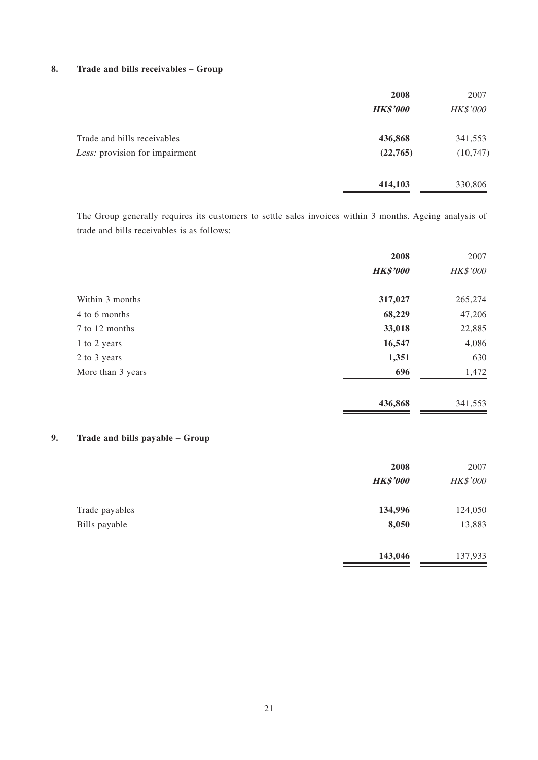#### **8. Trade and bills receivables – Group**

|                                | 2008            | 2007            |
|--------------------------------|-----------------|-----------------|
|                                | <b>HK\$'000</b> | <b>HK\$'000</b> |
| Trade and bills receivables    | 436,868         | 341,553         |
| Less: provision for impairment | (22, 765)       | (10, 747)       |
|                                | 414,103         | 330,806         |

The Group generally requires its customers to settle sales invoices within 3 months. Ageing analysis of trade and bills receivables is as follows:

|                   | 2008            | 2007     |
|-------------------|-----------------|----------|
|                   | <b>HK\$'000</b> | HK\$'000 |
| Within 3 months   | 317,027         | 265,274  |
| 4 to 6 months     | 68,229          | 47,206   |
| 7 to 12 months    | 33,018          | 22,885   |
| 1 to 2 years      | 16,547          | 4,086    |
| 2 to 3 years      | 1,351           | 630      |
| More than 3 years | 696             | 1,472    |
|                   | 436,868         | 341,553  |
|                   |                 |          |

### **9. Trade and bills payable – Group**

|                | 2008            | 2007     |
|----------------|-----------------|----------|
|                | <b>HK\$'000</b> | HK\$'000 |
| Trade payables | 134,996         | 124,050  |
| Bills payable  | 8,050           | 13,883   |
|                | 143,046         | 137,933  |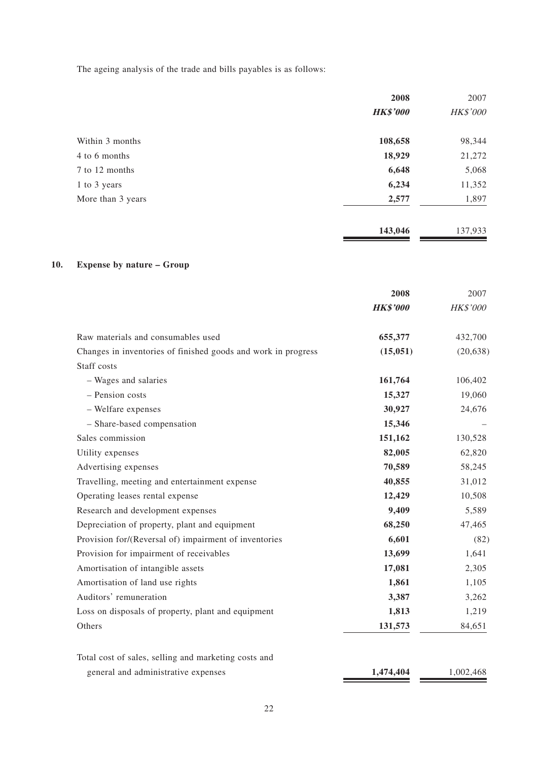The ageing analysis of the trade and bills payables is as follows:

|                   | 2008            | 2007     |
|-------------------|-----------------|----------|
|                   | <b>HK\$'000</b> | HK\$'000 |
| Within 3 months   | 108,658         | 98,344   |
| 4 to 6 months     | 18,929          | 21,272   |
| 7 to 12 months    | 6,648           | 5,068    |
| 1 to 3 years      | 6,234           | 11,352   |
| More than 3 years | 2,577           | 1,897    |
|                   | 143,046         | 137,933  |

### **10. Expense by nature – Group**

|                                                               | 2008            | 2007      |
|---------------------------------------------------------------|-----------------|-----------|
|                                                               | <b>HK\$'000</b> | HK\$'000  |
| Raw materials and consumables used                            | 655,377         | 432,700   |
| Changes in inventories of finished goods and work in progress | (15, 051)       | (20, 638) |
| Staff costs                                                   |                 |           |
| - Wages and salaries                                          | 161,764         | 106,402   |
| - Pension costs                                               | 15,327          | 19,060    |
| - Welfare expenses                                            | 30,927          | 24,676    |
| - Share-based compensation                                    | 15,346          |           |
| Sales commission                                              | 151,162         | 130,528   |
| Utility expenses                                              | 82,005          | 62,820    |
| Advertising expenses                                          | 70,589          | 58,245    |
| Travelling, meeting and entertainment expense                 | 40,855          | 31,012    |
| Operating leases rental expense                               | 12,429          | 10,508    |
| Research and development expenses                             | 9,409           | 5,589     |
| Depreciation of property, plant and equipment                 | 68,250          | 47,465    |
| Provision for/(Reversal of) impairment of inventories         | 6,601           | (82)      |
| Provision for impairment of receivables                       | 13,699          | 1,641     |
| Amortisation of intangible assets                             | 17,081          | 2,305     |
| Amortisation of land use rights                               | 1,861           | 1,105     |
| Auditors' remuneration                                        | 3,387           | 3,262     |
| Loss on disposals of property, plant and equipment            | 1,813           | 1,219     |
| Others                                                        | 131,573         | 84,651    |
|                                                               |                 |           |
| Total cost of sales, selling and marketing costs and          |                 |           |

| general and administrative expenses | 1,474,404 | 1,002,468 |
|-------------------------------------|-----------|-----------|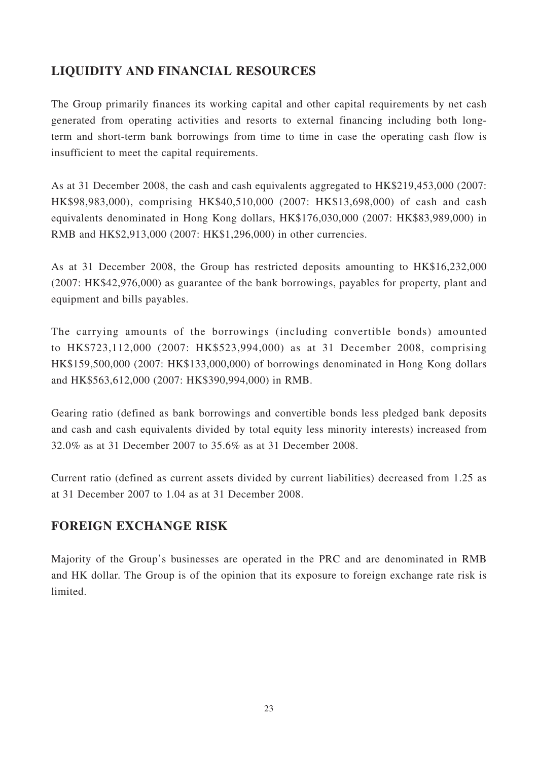## **LIQUIDITY AND FINANCIAL RESOURCES**

The Group primarily finances its working capital and other capital requirements by net cash generated from operating activities and resorts to external financing including both longterm and short-term bank borrowings from time to time in case the operating cash flow is insufficient to meet the capital requirements.

As at 31 December 2008, the cash and cash equivalents aggregated to HK\$219,453,000 (2007: HK\$98,983,000), comprising HK\$40,510,000 (2007: HK\$13,698,000) of cash and cash equivalents denominated in Hong Kong dollars, HK\$176,030,000 (2007: HK\$83,989,000) in RMB and HK\$2,913,000 (2007: HK\$1,296,000) in other currencies.

As at 31 December 2008, the Group has restricted deposits amounting to HK\$16,232,000 (2007: HK\$42,976,000) as guarantee of the bank borrowings, payables for property, plant and equipment and bills payables.

The carrying amounts of the borrowings (including convertible bonds) amounted to HK\$723,112,000 (2007: HK\$523,994,000) as at 31 December 2008, comprising HK\$159,500,000 (2007: HK\$133,000,000) of borrowings denominated in Hong Kong dollars and HK\$563,612,000 (2007: HK\$390,994,000) in RMB.

Gearing ratio (defined as bank borrowings and convertible bonds less pledged bank deposits and cash and cash equivalents divided by total equity less minority interests) increased from 32.0% as at 31 December 2007 to 35.6% as at 31 December 2008.

Current ratio (defined as current assets divided by current liabilities) decreased from 1.25 as at 31 December 2007 to 1.04 as at 31 December 2008.

### **FOREIGN EXCHANGE RISK**

Majority of the Group's businesses are operated in the PRC and are denominated in RMB and HK dollar. The Group is of the opinion that its exposure to foreign exchange rate risk is limited.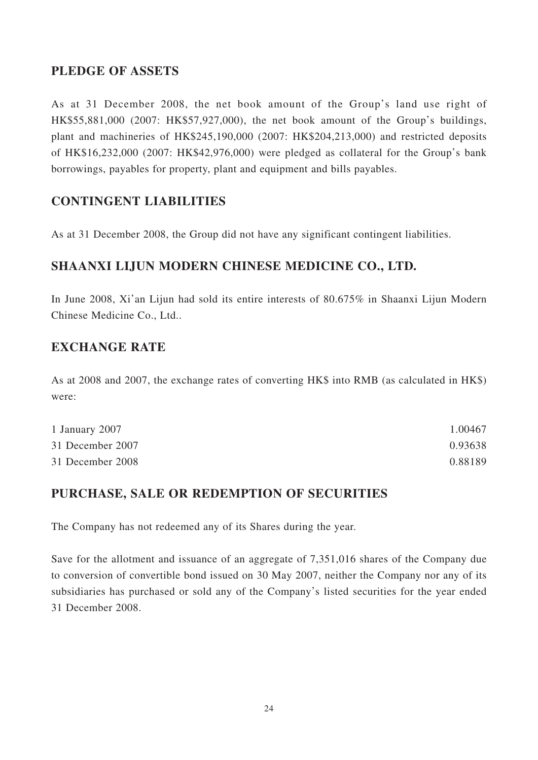## **PLEDGE OF ASSETS**

As at 31 December 2008, the net book amount of the Group's land use right of HK\$55,881,000 (2007: HK\$57,927,000), the net book amount of the Group's buildings, plant and machineries of HK\$245,190,000 (2007: HK\$204,213,000) and restricted deposits of HK\$16,232,000 (2007: HK\$42,976,000) were pledged as collateral for the Group's bank borrowings, payables for property, plant and equipment and bills payables.

## **CONTINGENT LIABILITIES**

As at 31 December 2008, the Group did not have any significant contingent liabilities.

## **SHAANXI LIJUN MODERN CHINESE MEDICINE CO., LTD.**

In June 2008, Xi'an Lijun had sold its entire interests of 80.675% in Shaanxi Lijun Modern Chinese Medicine Co., Ltd..

### **EXCHANGE RATE**

As at 2008 and 2007, the exchange rates of converting HK\$ into RMB (as calculated in HK\$) were:

| 1 January 2007   | 1.00467 |
|------------------|---------|
| 31 December 2007 | 0.93638 |
| 31 December 2008 | 0.88189 |

### **PURCHASE, SALE OR REDEMPTION OF SECURITIES**

The Company has not redeemed any of its Shares during the year.

Save for the allotment and issuance of an aggregate of 7,351,016 shares of the Company due to conversion of convertible bond issued on 30 May 2007, neither the Company nor any of its subsidiaries has purchased or sold any of the Company's listed securities for the year ended 31 December 2008.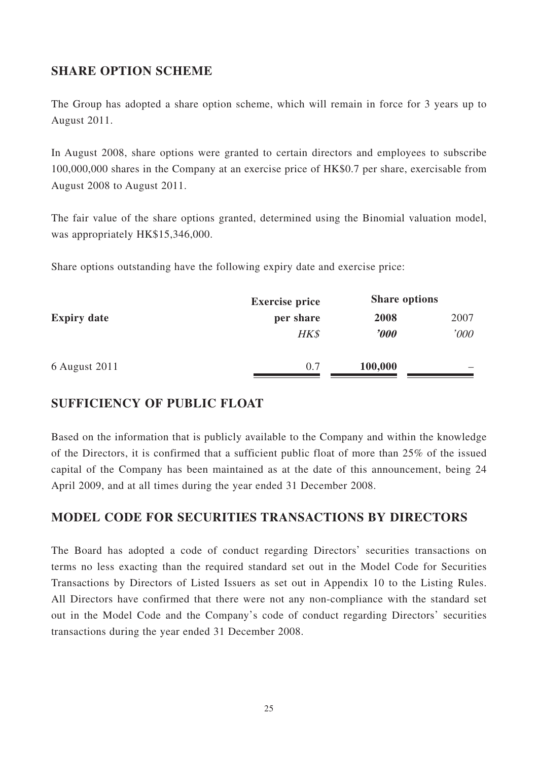### **SHARE OPTION SCHEME**

The Group has adopted a share option scheme, which will remain in force for 3 years up to August 2011.

In August 2008, share options were granted to certain directors and employees to subscribe 100,000,000 shares in the Company at an exercise price of HK\$0.7 per share, exercisable from August 2008 to August 2011.

The fair value of the share options granted, determined using the Binomial valuation model, was appropriately HK\$15,346,000.

Share options outstanding have the following expiry date and exercise price:

| <b>Expiry date</b> | <b>Exercise price</b> | <b>Share options</b>    |      |
|--------------------|-----------------------|-------------------------|------|
|                    | per share             | 2008                    | 2007 |
|                    | HK\$                  | $\boldsymbol{\it v000}$ | '000 |
| 6 August 2011      | 0.7                   | 100,000                 |      |

### **SUFFICIENCY OF PUBLIC FLOAT**

Based on the information that is publicly available to the Company and within the knowledge of the Directors, it is confirmed that a sufficient public float of more than 25% of the issued capital of the Company has been maintained as at the date of this announcement, being 24 April 2009, and at all times during the year ended 31 December 2008.

## **MODEL CODE FOR SECURITIES TRANSACTIONS BY DIRECTORS**

The Board has adopted a code of conduct regarding Directors' securities transactions on terms no less exacting than the required standard set out in the Model Code for Securities Transactions by Directors of Listed Issuers as set out in Appendix 10 to the Listing Rules. All Directors have confirmed that there were not any non-compliance with the standard set out in the Model Code and the Company's code of conduct regarding Directors' securities transactions during the year ended 31 December 2008.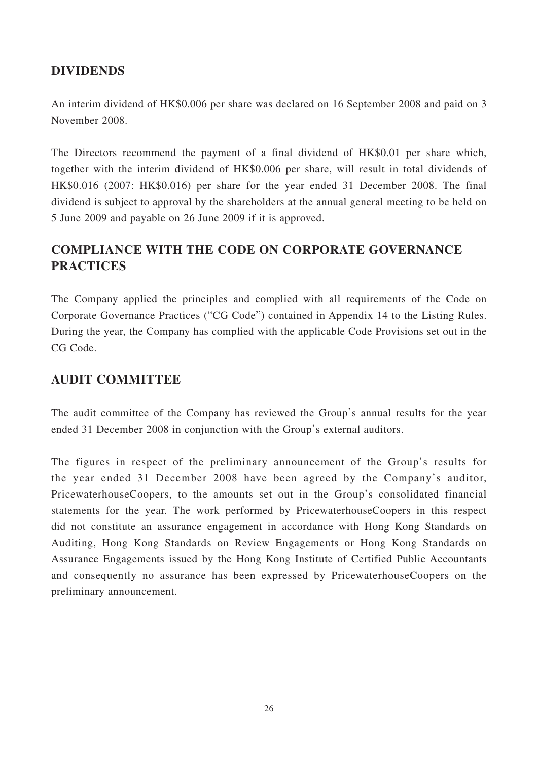### **DIVIDENDS**

An interim dividend of HK\$0.006 per share was declared on 16 September 2008 and paid on 3 November 2008.

The Directors recommend the payment of a final dividend of HK\$0.01 per share which, together with the interim dividend of HK\$0.006 per share, will result in total dividends of HK\$0.016 (2007: HK\$0.016) per share for the year ended 31 December 2008. The final dividend is subject to approval by the shareholders at the annual general meeting to be held on 5 June 2009 and payable on 26 June 2009 if it is approved.

# **COMPLIANCE WITH THE CODE ON CORPORATE GOVERNANCE PRACTICES**

The Company applied the principles and complied with all requirements of the Code on Corporate Governance Practices ("CG Code") contained in Appendix 14 to the Listing Rules. During the year, the Company has complied with the applicable Code Provisions set out in the CG Code.

### **AUDIT COMMITTEE**

The audit committee of the Company has reviewed the Group's annual results for the year ended 31 December 2008 in conjunction with the Group's external auditors.

The figures in respect of the preliminary announcement of the Group's results for the year ended 31 December 2008 have been agreed by the Company's auditor, PricewaterhouseCoopers, to the amounts set out in the Group's consolidated financial statements for the year. The work performed by PricewaterhouseCoopers in this respect did not constitute an assurance engagement in accordance with Hong Kong Standards on Auditing, Hong Kong Standards on Review Engagements or Hong Kong Standards on Assurance Engagements issued by the Hong Kong Institute of Certified Public Accountants and consequently no assurance has been expressed by PricewaterhouseCoopers on the preliminary announcement.